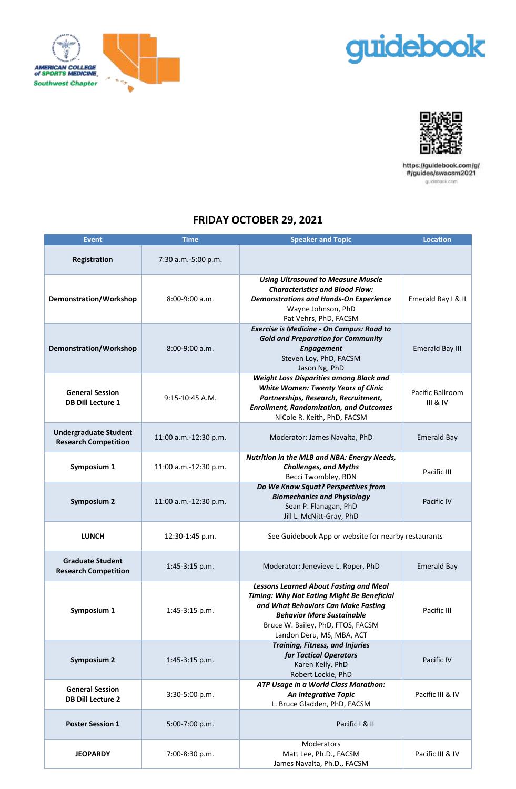



T



https://guidebook.com/g/<br>#/guides/swacsm2021 guiditionk.com

## **FRIDAY OCTOBER 29, 2021**

| <b>Event</b>                                                | <b>Time</b>           | <b>Speaker and Topic</b>                                                                                                                                                                                                                        | <b>Location</b>              |
|-------------------------------------------------------------|-----------------------|-------------------------------------------------------------------------------------------------------------------------------------------------------------------------------------------------------------------------------------------------|------------------------------|
| Registration                                                | 7:30 a.m.-5:00 p.m.   |                                                                                                                                                                                                                                                 |                              |
| Demonstration/Workshop                                      | $8:00-9:00$ a.m.      | <b>Using Ultrasound to Measure Muscle</b><br><b>Characteristics and Blood Flow:</b><br><b>Demonstrations and Hands-On Experience</b><br>Wayne Johnson, PhD<br>Pat Vehrs, PhD, FACSM                                                             | Emerald Bay I & II           |
| <b>Demonstration/Workshop</b>                               | $8:00-9:00$ a.m.      | <b>Exercise is Medicine - On Campus: Road to</b><br><b>Gold and Preparation for Community</b><br><b>Engagement</b><br>Steven Loy, PhD, FACSM<br>Jason Ng, PhD                                                                                   | <b>Emerald Bay III</b>       |
| <b>General Session</b><br><b>DB Dill Lecture 1</b>          | $9:15-10:45$ A.M.     | <b>Weight Loss Disparities among Black and</b><br><b>White Women: Twenty Years of Clinic</b><br>Partnerships, Research, Recruitment,<br><b>Enrollment, Randomization, and Outcomes</b><br>NiCole R. Keith, PhD, FACSM                           | Pacific Ballroom<br>III & IV |
| <b>Undergraduate Student</b><br><b>Research Competition</b> | 11:00 a.m.-12:30 p.m. | Moderator: James Navalta, PhD                                                                                                                                                                                                                   | <b>Emerald Bay</b>           |
| Symposium 1                                                 | 11:00 a.m.-12:30 p.m. | Nutrition in the MLB and NBA: Energy Needs,<br><b>Challenges, and Myths</b><br>Becci Twombley, RDN                                                                                                                                              | Pacific III                  |
| <b>Symposium 2</b>                                          | 11:00 a.m.-12:30 p.m. | Do We Know Squat? Perspectives from<br><b>Biomechanics and Physiology</b><br>Sean P. Flanagan, PhD<br>Jill L. McNitt-Gray, PhD                                                                                                                  | Pacific IV                   |
| <b>LUNCH</b>                                                | 12:30-1:45 p.m.       | See Guidebook App or website for nearby restaurants                                                                                                                                                                                             |                              |
| <b>Graduate Student</b><br><b>Research Competition</b>      | $1:45-3:15$ p.m.      | Moderator: Jenevieve L. Roper, PhD                                                                                                                                                                                                              | <b>Emerald Bay</b>           |
| Symposium 1                                                 | 1:45-3:15 p.m.        | <b>Lessons Learned About Fasting and Meal</b><br><b>Timing: Why Not Eating Might Be Beneficial</b><br>and What Behaviors Can Make Fasting<br><b>Behavior More Sustainable</b><br>Bruce W. Bailey, PhD, FTOS, FACSM<br>Landon Deru, MS, MBA, ACT | Pacific III                  |
| <b>Symposium 2</b>                                          | 1:45-3:15 p.m.        | <b>Training, Fitness, and Injuries</b><br>for Tactical Operators<br>Karen Kelly, PhD<br>Robert Lockie, PhD                                                                                                                                      | Pacific IV                   |
| <b>General Session</b><br><b>DB Dill Lecture 2</b>          | 3:30-5:00 p.m.        | ATP Usage in a World Class Marathon:<br>An Integrative Topic<br>L. Bruce Gladden, PhD, FACSM                                                                                                                                                    | Pacific III & IV             |
| <b>Poster Session 1</b>                                     | 5:00-7:00 p.m.        | Pacific I & II                                                                                                                                                                                                                                  |                              |
| <b>JEOPARDY</b>                                             | 7:00-8:30 p.m.        | Moderators<br>Matt Lee, Ph.D., FACSM<br>James Navalta, Ph.D., FACSM                                                                                                                                                                             | Pacific III & IV             |